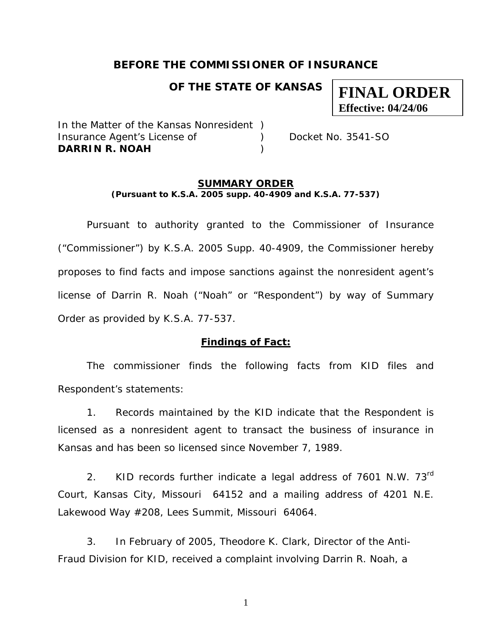## **BEFORE THE COMMISSIONER OF INSURANCE**

## **OF THE STATE OF KANSAS**

In the Matter of the Kansas Nonresident ) Insurance Agent's License of (a) Docket No. 3541-SO **DARRIN R. NOAH** )

**FINAL ORDER** 

**Effective: 04/24/06**

#### **SUMMARY ORDER (Pursuant to K.S.A. 2005 supp. 40-4909 and K.S.A. 77-537)**

 Pursuant to authority granted to the Commissioner of Insurance ("Commissioner") by K.S.A. 2005 Supp. 40-4909, the Commissioner hereby proposes to find facts and impose sanctions against the nonresident agent's license of Darrin R. Noah ("Noah" or "Respondent") by way of Summary Order as provided by K.S.A. 77-537.

#### **Findings of Fact:**

 The commissioner finds the following facts from KID files and Respondent's statements:

 1. Records maintained by the KID indicate that the Respondent is licensed as a nonresident agent to transact the business of insurance in Kansas and has been so licensed since November 7, 1989.

2. KID records further indicate a legal address of  $7601$  N.W.  $73<sup>rd</sup>$ Court, Kansas City, Missouri 64152 and a mailing address of 4201 N.E. Lakewood Way #208, Lees Summit, Missouri 64064.

3. In February of 2005, Theodore K. Clark, Director of the Anti-Fraud Division for KID, received a complaint involving Darrin R. Noah, a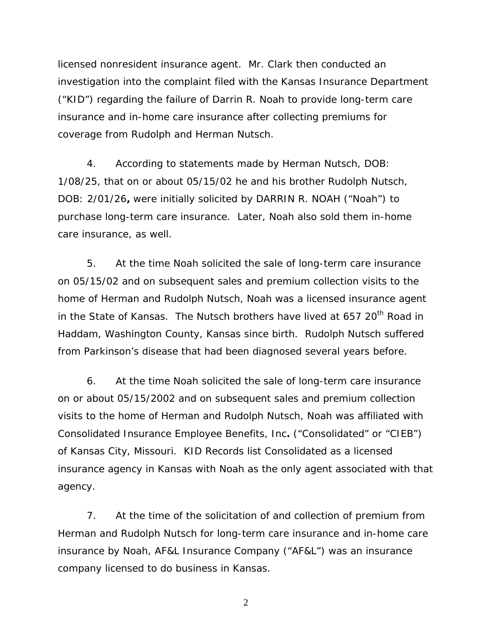licensed nonresident insurance agent. Mr. Clark then conducted an investigation into the complaint filed with the Kansas Insurance Department ("KID") regarding the failure of Darrin R. Noah to provide long-term care insurance and in-home care insurance after collecting premiums for coverage from Rudolph and Herman Nutsch.

 4. According to statements made by Herman Nutsch, DOB: 1/08/25, that on or about 05/15/02 he and his brother Rudolph Nutsch, DOB: 2/01/26**,** were initially solicited by DARRIN R. NOAH ("Noah") to purchase long-term care insurance. Later, Noah also sold them in-home care insurance, as well.

 5. At the time Noah solicited the sale of long-term care insurance on 05/15/02 and on subsequent sales and premium collection visits to the home of Herman and Rudolph Nutsch, Noah was a licensed insurance agent in the State of Kansas. The Nutsch brothers have lived at 657 20<sup>th</sup> Road in Haddam, Washington County, Kansas since birth. Rudolph Nutsch suffered from Parkinson's disease that had been diagnosed several years before.

 6. At the time Noah solicited the sale of long-term care insurance on or about 05/15/2002 and on subsequent sales and premium collection visits to the home of Herman and Rudolph Nutsch, Noah was affiliated with Consolidated Insurance Employee Benefits, Inc**.** ("Consolidated" or "CIEB") of Kansas City, Missouri. KID Records list Consolidated as a licensed insurance agency in Kansas with Noah as the only agent associated with that agency.

 7. At the time of the solicitation of and collection of premium from Herman and Rudolph Nutsch for long-term care insurance and in-home care insurance by Noah, AF&L Insurance Company ("AF&L") was an insurance company licensed to do business in Kansas.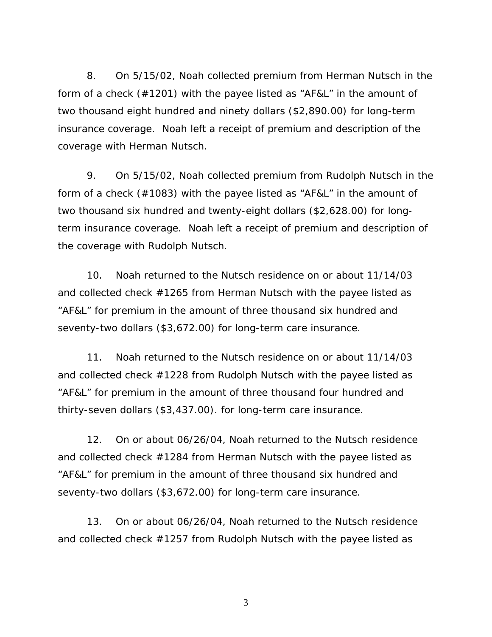8. On 5/15/02, Noah collected premium from Herman Nutsch in the form of a check (#1201) with the payee listed as "AF&L" in the amount of two thousand eight hundred and ninety dollars (\$2,890.00) for long-term insurance coverage. Noah left a receipt of premium and description of the coverage with Herman Nutsch.

 9. On 5/15/02, Noah collected premium from Rudolph Nutsch in the form of a check (#1083) with the payee listed as "AF&L" in the amount of two thousand six hundred and twenty-eight dollars (\$2,628.00) for longterm insurance coverage. Noah left a receipt of premium and description of the coverage with Rudolph Nutsch.

 10. Noah returned to the Nutsch residence on or about 11/14/03 and collected check #1265 from Herman Nutsch with the payee listed as "AF&L" for premium in the amount of three thousand six hundred and seventy-two dollars (\$3,672.00) for long-term care insurance.

 11. Noah returned to the Nutsch residence on or about 11/14/03 and collected check #1228 from Rudolph Nutsch with the payee listed as "AF&L" for premium in the amount of three thousand four hundred and thirty-seven dollars (\$3,437.00). for long-term care insurance.

 12. On or about 06/26/04, Noah returned to the Nutsch residence and collected check #1284 from Herman Nutsch with the payee listed as "AF&L" for premium in the amount of three thousand six hundred and seventy-two dollars (\$3,672.00) for long-term care insurance.

 13. On or about 06/26/04, Noah returned to the Nutsch residence and collected check #1257 from Rudolph Nutsch with the payee listed as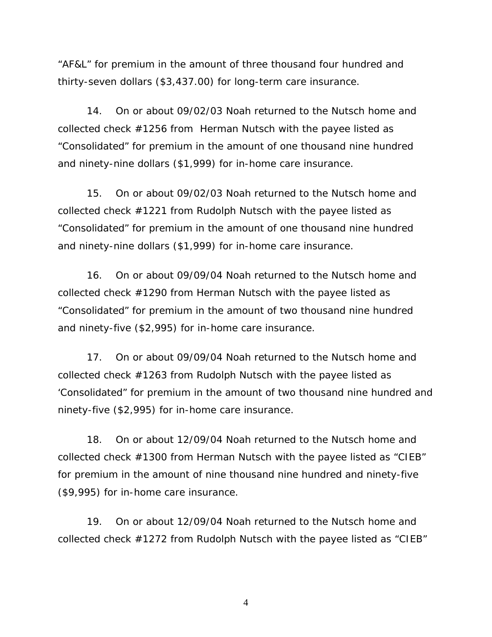"AF&L" for premium in the amount of three thousand four hundred and thirty-seven dollars (\$3,437.00) for long-term care insurance.

 14. On or about 09/02/03 Noah returned to the Nutsch home and collected check #1256 from Herman Nutsch with the payee listed as "Consolidated" for premium in the amount of one thousand nine hundred and ninety-nine dollars (\$1,999) for in-home care insurance.

 15. On or about 09/02/03 Noah returned to the Nutsch home and collected check #1221 from Rudolph Nutsch with the payee listed as "Consolidated" for premium in the amount of one thousand nine hundred and ninety-nine dollars (\$1,999) for in-home care insurance.

 16. On or about 09/09/04 Noah returned to the Nutsch home and collected check #1290 from Herman Nutsch with the payee listed as "Consolidated" for premium in the amount of two thousand nine hundred and ninety-five (\$2,995) for in-home care insurance.

 17. On or about 09/09/04 Noah returned to the Nutsch home and collected check #1263 from Rudolph Nutsch with the payee listed as 'Consolidated" for premium in the amount of two thousand nine hundred and ninety-five (\$2,995) for in-home care insurance.

 18. On or about 12/09/04 Noah returned to the Nutsch home and collected check #1300 from Herman Nutsch with the payee listed as "CIEB" for premium in the amount of nine thousand nine hundred and ninety-five (\$9,995) for in-home care insurance.

 19. On or about 12/09/04 Noah returned to the Nutsch home and collected check #1272 from Rudolph Nutsch with the payee listed as "CIEB"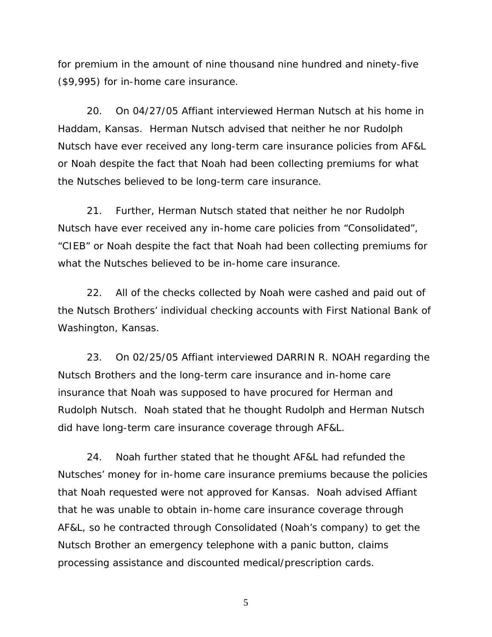for premium in the amount of nine thousand nine hundred and ninety-five (\$9,995) for in-home care insurance.

 20. On 04/27/05 Affiant interviewed Herman Nutsch at his home in Haddam, Kansas. Herman Nutsch advised that neither he nor Rudolph Nutsch have ever received any long-term care insurance policies from AF&L or Noah despite the fact that Noah had been collecting premiums for what the Nutsches believed to be long-term care insurance.

 21. Further, Herman Nutsch stated that neither he nor Rudolph Nutsch have ever received any in-home care policies from "Consolidated", "CIEB" or Noah despite the fact that Noah had been collecting premiums for what the Nutsches believed to be in-home care insurance.

 22. All of the checks collected by Noah were cashed and paid out of the Nutsch Brothers' individual checking accounts with First National Bank of Washington, Kansas.

 23. On 02/25/05 Affiant interviewed DARRIN R. NOAH regarding the Nutsch Brothers and the long-term care insurance and in-home care insurance that Noah was supposed to have procured for Herman and Rudolph Nutsch. Noah stated that he thought Rudolph and Herman Nutsch did have long-term care insurance coverage through AF&L.

 24. Noah further stated that he thought AF&L had refunded the Nutsches' money for in-home care insurance premiums because the policies that Noah requested were not approved for Kansas. Noah advised Affiant that he was unable to obtain in-home care insurance coverage through AF&L, so he contracted through Consolidated (Noah's company) to get the Nutsch Brother an emergency telephone with a panic button, claims processing assistance and discounted medical/prescription cards.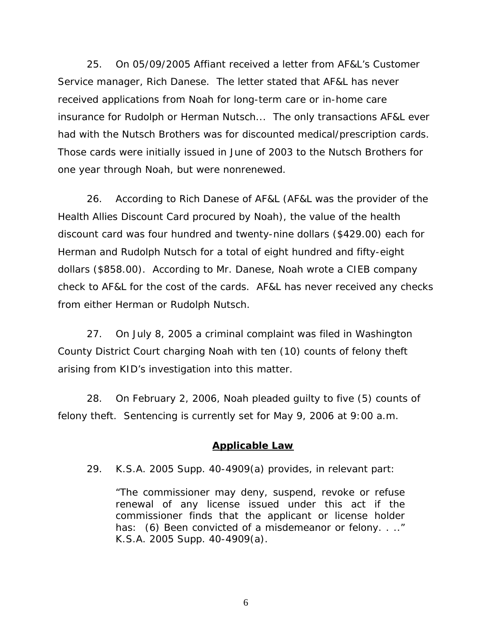25. On 05/09/2005 Affiant received a letter from AF&L's Customer Service manager, Rich Danese. The letter stated that AF&L has never received applications from Noah for long-term care or in-home care insurance for Rudolph or Herman Nutsch... The only transactions AF&L ever had with the Nutsch Brothers was for discounted medical/prescription cards. Those cards were initially issued in June of 2003 to the Nutsch Brothers for one year through Noah, but were nonrenewed.

 26. According to Rich Danese of AF&L (AF&L was the provider of the Health Allies Discount Card procured by Noah), the value of the health discount card was four hundred and twenty-nine dollars (\$429.00) each for Herman and Rudolph Nutsch for a total of eight hundred and fifty-eight dollars (\$858.00). According to Mr. Danese, Noah wrote a CIEB company check to AF&L for the cost of the cards. AF&L has never received any checks from either Herman or Rudolph Nutsch.

 27. On July 8, 2005 a criminal complaint was filed in Washington County District Court charging Noah with ten (10) counts of felony theft arising from KID's investigation into this matter.

 28. On February 2, 2006, Noah pleaded guilty to five (5) counts of felony theft. Sentencing is currently set for May 9, 2006 at 9:00 a.m.

#### **Applicable Law**

29. K.S.A. 2005 Supp. 40-4909(a) provides, in relevant part:

"The commissioner may deny, suspend, revoke or refuse renewal of any license issued under this act if the commissioner finds that the applicant or license holder has: (6) Been convicted of a misdemeanor or felony. . .." K.S.A. 2005 Supp. 40-4909(a).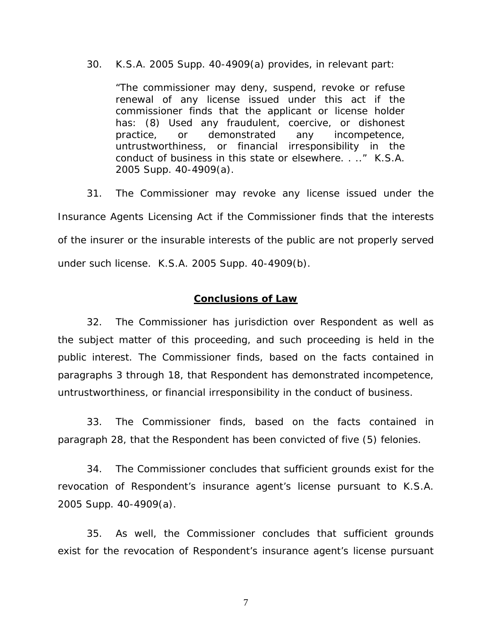30. K.S.A. 2005 Supp. 40-4909(a) provides, in relevant part:

"The commissioner may deny, suspend, revoke or refuse renewal of any license issued under this act if the commissioner finds that the applicant or license holder has: (8) Used any fraudulent, coercive, or dishonest practice, or demonstrated any incompetence, untrustworthiness, or financial irresponsibility in the conduct of business in this state or elsewhere. . .." K.S.A. 2005 Supp. 40-4909(a).

 31. The Commissioner may revoke any license issued under the Insurance Agents Licensing Act if the Commissioner finds that the interests of the insurer or the insurable interests of the public are not properly served under such license. K.S.A. 2005 Supp. 40-4909(b).

#### **Conclusions of Law**

 32. The Commissioner has jurisdiction over Respondent as well as the subject matter of this proceeding, and such proceeding is held in the public interest. The Commissioner finds, based on the facts contained in paragraphs 3 through 18, that Respondent has demonstrated incompetence, untrustworthiness, or financial irresponsibility in the conduct of business.

 33. The Commissioner finds, based on the facts contained in paragraph 28, that the Respondent has been convicted of five (5) felonies.

 34. The Commissioner concludes that sufficient grounds exist for the revocation of Respondent's insurance agent's license pursuant to K.S.A. 2005 Supp. 40-4909(a).

 35. As well, the Commissioner concludes that sufficient grounds exist for the revocation of Respondent's insurance agent's license pursuant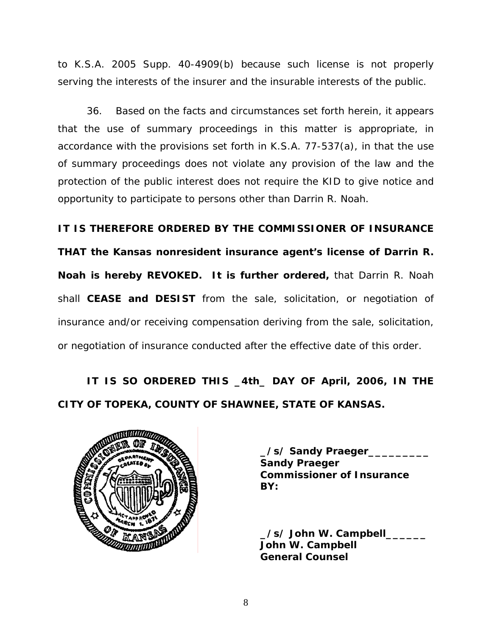to K.S.A. 2005 Supp. 40-4909(b) because such license is not properly serving the interests of the insurer and the insurable interests of the public.

 36. Based on the facts and circumstances set forth herein, it appears that the use of summary proceedings in this matter is appropriate, in accordance with the provisions set forth in K.S.A. 77-537(a), in that the use of summary proceedings does not violate any provision of the law and the protection of the public interest does not require the KID to give notice and opportunity to participate to persons other than Darrin R. Noah.

**IT IS THEREFORE ORDERED BY THE COMMISSIONER OF INSURANCE** 

**THAT the Kansas nonresident insurance agent's license of Darrin R. Noah is hereby REVOKED. It is further ordered,** that Darrin R. Noah shall **CEASE and DESIST** from the sale, solicitation, or negotiation of insurance and/or receiving compensation deriving from the sale, solicitation, or negotiation of insurance conducted after the effective date of this order.

# **IT IS SO ORDERED THIS \_4th\_ DAY OF April, 2006, IN THE CITY OF TOPEKA, COUNTY OF SHAWNEE, STATE OF KANSAS.**



 **\_/s/ Sandy Praeger\_\_\_\_\_\_\_\_\_ Sandy Praeger Commissioner of Insurance** 

 **\_/s/ John W. Campbell\_\_\_\_\_\_ John W. Campbell General Counsel**